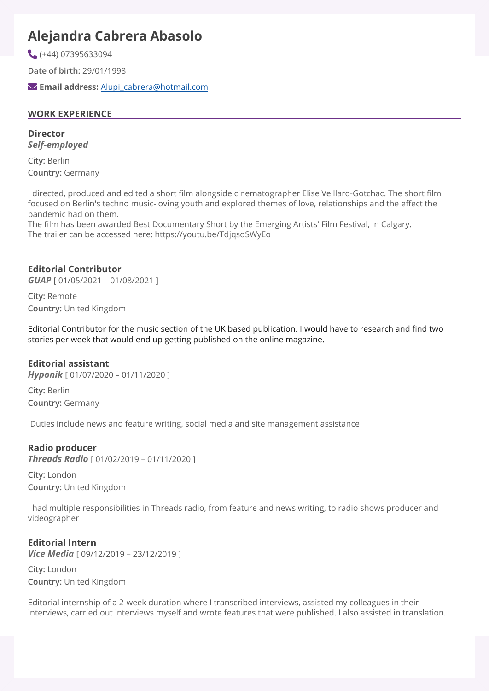# **Alejandra Cabrera Abasolo**

(+44) 07395633094

**Date of birth:** 29/01/1998

**Email address:** [Alupi\\_cabrera@hotmail.com](mailto:Alupi_cabrera@hotmail.com)

## **WORK EXPERIENCE**

**Director**  *Self-employed* 

**City:** Berlin **Country:** Germany

I directed, produced and edited a short film alongside cinematographer Elise Veillard-Gotchac. The short film focused on Berlin's techno music-loving youth and explored themes of love, relationships and the effect the pandemic had on them.

The film has been awarded Best Documentary Short by the Emerging Artists' Film Festival, in Calgary. The trailer can be accessed here: https://youtu.be/TdjqsdSWyEo

## **Editorial Contributor**

*GUAP* [ 01/05/2021 – 01/08/2021 ]

**City:** Remote **Country:** United Kingdom

Editorial Contributor for the music section of the UK based publication. I would have to research and find two stories per week that would end up getting published on the online magazine.

## **Editorial assistant**

*Hyponik* [ 01/07/2020 – 01/11/2020 ]

**City:** Berlin **Country:** Germany

Duties include news and feature writing, social media and site management assistance

## **Radio producer**

*Threads Radio* [ 01/02/2019 – 01/11/2020 ]

**City:** London **Country:** United Kingdom

I had multiple responsibilities in Threads radio, from feature and news writing, to radio shows producer and videographer

## **Editorial Intern**

*Vice Media* [ 09/12/2019 – 23/12/2019 ]

**City:** London **Country:** United Kingdom

Editorial internship of a 2-week duration where I transcribed interviews, assisted my colleagues in their interviews, carried out interviews myself and wrote features that were published. I also assisted in translation.